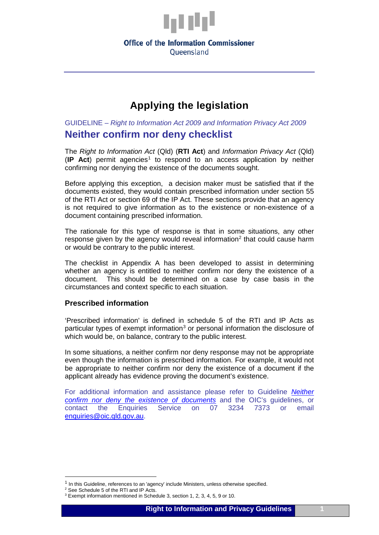

### **Office of the Information Commissioner** Oueensland

## **Applying the legislation**

GUIDELINE *– Right to Information Act 2009 and Information Privacy Act 2009* **Neither confirm nor deny checklist**

The *Right to Information Act* (Qld) (**RTI Act**) and *Information Privacy Act* (Qld) (**IP Act**) permit agencies[1](#page-0-0) to respond to an access application by neither confirming nor denying the existence of the documents sought.

Before applying this exception, a decision maker must be satisfied that if the documents existed, they would contain prescribed information under section 55 of the RTI Act or section 69 of the IP Act. These sections provide that an agency is not required to give information as to the existence or non-existence of a document containing prescribed information.

The rationale for this type of response is that in some situations, any other response given by the agency would reveal information<sup>2</sup> that could cause harm or would be contrary to the public interest.

The checklist in Appendix A has been developed to assist in determining whether an agency is entitled to neither confirm nor deny the existence of a document. This should be determined on a case by case basis in the circumstances and context specific to each situation.

### **Prescribed information**

'Prescribed information' is defined in schedule 5 of the RTI and IP Acts as particular types of exempt information<sup>[3](#page-0-2)</sup> or personal information the disclosure of which would be, on balance, contrary to the public interest.

In some situations, a neither confirm nor deny response may not be appropriate even though the information is prescribed information. For example, it would not be appropriate to neither confirm nor deny the existence of a document if the applicant already has evidence proving the document's existence.

For additional information and assistance please refer to Guideline *[Neither](http://www.oic.qld.gov.au/guidelines/for-government/access-and-amendment/neither-confirm-nor-deny/neither-confirm-nor-deny-the-existence-of-documents) [confirm nor deny the existence of documents](http://www.oic.qld.gov.au/guidelines/for-government/access-and-amendment/neither-confirm-nor-deny/neither-confirm-nor-deny-the-existence-of-documents)* and the OIC's guidelines, or contact the Enquiries Service on 07 3234 7373 or email [enquiries@oic.qld.gov.au.](mailto:enquiries@oic.qld.gov.au)

<u>.</u>

<span id="page-0-0"></span><sup>&</sup>lt;sup>1</sup> In this Guideline, references to an 'agency' include Ministers, unless otherwise specified.

<span id="page-0-1"></span><sup>2</sup> See Schedule 5 of the RTI and IP Acts.

<span id="page-0-2"></span><sup>3</sup> Exempt information mentioned in Schedule 3, section 1, 2, 3, 4, 5, 9 or 10.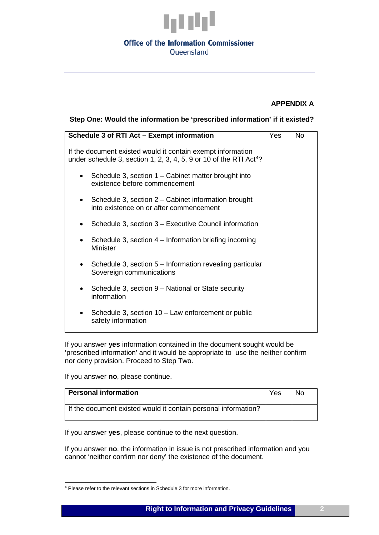

### **Office of the Information Commissioner** Oueensland

### **APPENDIX A**

### **Step One: Would the information be 'prescribed information' if it existed?**

| Schedule 3 of RTI Act - Exempt information                                                                                                    | Yes | <b>No</b> |
|-----------------------------------------------------------------------------------------------------------------------------------------------|-----|-----------|
| If the document existed would it contain exempt information<br>under schedule 3, section 1, 2, 3, 4, 5, 9 or 10 of the RTI Act <sup>4</sup> ? |     |           |
| Schedule 3, section 1 – Cabinet matter brought into<br>$\bullet$<br>existence before commencement                                             |     |           |
| • Schedule 3, section $2 -$ Cabinet information brought<br>into existence on or after commencement                                            |     |           |
| Schedule 3, section 3 - Executive Council information<br>$\bullet$                                                                            |     |           |
| Schedule 3, section 4 – Information briefing incoming<br>$\bullet$<br><b>Minister</b>                                                         |     |           |
| • Schedule 3, section $5$ – Information revealing particular<br>Sovereign communications                                                      |     |           |
| Schedule 3, section 9 – National or State security<br>$\bullet$<br>information                                                                |     |           |
| Schedule 3, section $10 - Law$ enforcement or public<br>$\bullet$<br>safety information                                                       |     |           |

If you answer **yes** information contained in the document sought would be 'prescribed information' and it would be appropriate to use the neither confirm nor deny provision. Proceed to Step Two.

If you answer **no**, please continue.

<u>.</u>

| <b>Personal information</b>                                    | Yes | No. |
|----------------------------------------------------------------|-----|-----|
| If the document existed would it contain personal information? |     |     |

If you answer **yes**, please continue to the next question.

If you answer **no**, the information in issue is not prescribed information and you cannot 'neither confirm nor deny' the existence of the document.

<span id="page-1-0"></span><sup>&</sup>lt;sup>4</sup> Please refer to the relevant sections in Schedule 3 for more information.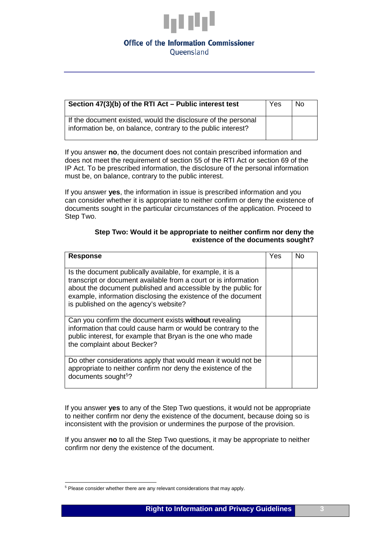

# **Office of the Information Commissioner**

Oueensland

| Section 47(3)(b) of the RTI Act - Public interest test                                                                        | Yes | N <sub>0</sub> |
|-------------------------------------------------------------------------------------------------------------------------------|-----|----------------|
| If the document existed, would the disclosure of the personal<br>information be, on balance, contrary to the public interest? |     |                |

If you answer **no**, the document does not contain prescribed information and does not meet the requirement of section 55 of the RTI Act or section 69 of the IP Act. To be prescribed information, the disclosure of the personal information must be, on balance, contrary to the public interest.

If you answer **yes**, the information in issue is prescribed information and you can consider whether it is appropriate to neither confirm or deny the existence of documents sought in the particular circumstances of the application. Proceed to Step Two.

### **Step Two: Would it be appropriate to neither confirm nor deny the existence of the documents sought?**

| <b>Response</b>                                                                                                                                                                                                                                                                                          | Yes | No |
|----------------------------------------------------------------------------------------------------------------------------------------------------------------------------------------------------------------------------------------------------------------------------------------------------------|-----|----|
| Is the document publically available, for example, it is a<br>transcript or document available from a court or is information<br>about the document published and accessible by the public for<br>example, information disclosing the existence of the document<br>is published on the agency's website? |     |    |
| Can you confirm the document exists without revealing<br>information that could cause harm or would be contrary to the<br>public interest, for example that Bryan is the one who made<br>the complaint about Becker?                                                                                     |     |    |
| Do other considerations apply that would mean it would not be.<br>appropriate to neither confirm nor deny the existence of the<br>documents sought <sup>5</sup> ?                                                                                                                                        |     |    |

If you answer **yes** to any of the Step Two questions, it would not be appropriate to neither confirm nor deny the existence of the document, because doing so is inconsistent with the provision or undermines the purpose of the provision.

If you answer **no** to all the Step Two questions, it may be appropriate to neither confirm nor deny the existence of the document.

<u>.</u>

<span id="page-2-0"></span><sup>&</sup>lt;sup>5</sup> Please consider whether there are any relevant considerations that may apply.